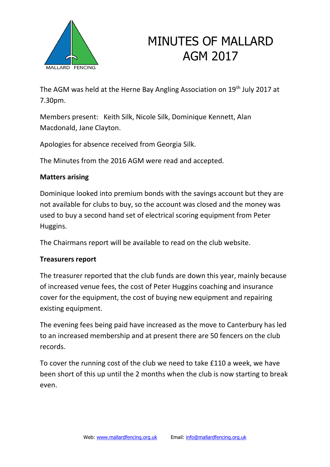

The AGM was held at the Herne Bay Angling Association on 19<sup>th</sup> July 2017 at 7.30pm.

Members present: Keith Silk, Nicole Silk, Dominique Kennett, Alan Macdonald, Jane Clayton.

Apologies for absence received from Georgia Silk.

The Minutes from the 2016 AGM were read and accepted.

## **Matters arising**

Dominique looked into premium bonds with the savings account but they are not available for clubs to buy, so the account was closed and the money was used to buy a second hand set of electrical scoring equipment from Peter Huggins.

The Chairmans report will be available to read on the club website.

## **Treasurers report**

The treasurer reported that the club funds are down this year, mainly because of increased venue fees, the cost of Peter Huggins coaching and insurance cover for the equipment, the cost of buying new equipment and repairing existing equipment.

The evening fees being paid have increased as the move to Canterbury has led to an increased membership and at present there are 50 fencers on the club records.

To cover the running cost of the club we need to take £110 a week, we have been short of this up until the 2 months when the club is now starting to break even.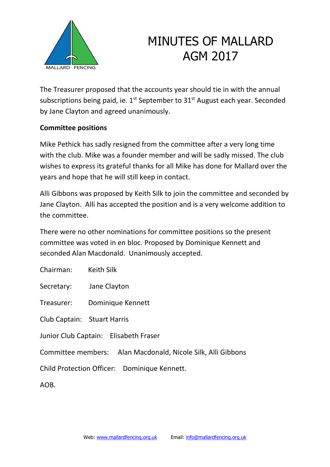

The Treasurer proposed that the accounts year should tie in with the annual subscriptions being paid, ie.  $1<sup>st</sup>$  September to  $31<sup>st</sup>$  August each year. Seconded by Jane Clayton and agreed unanimously.

## **Committee positions**

Mike Pethick has sadly resigned from the committee after a very long time with the club. Mike was a founder member and will be sadly missed. The club wishes to express its grateful thanks for all Mike has done for Mallard over the years and hope that he will still keep in contact.

Alli Gibbons was proposed by Keith Silk to join the committee and seconded by Jane Clayton. Alli has accepted the position and is a very welcome addition to the committee.

There were no other nominations for committee positions so the present committee was voted in en bloc. Proposed by Dominique Kennett and seconded Alan Macdonald. Unanimously accepted.

Chairman: Keith Silk

Secretary: Jane Clayton

Treasurer: Dominique Kennett

Club Captain: Stuart Harris

Junior Club Captain: Elisabeth Fraser

Committee members: Alan Macdonald, Nicole Silk, Alli Gibbons

Child Protection Officer: Dominique Kennett.

AOB.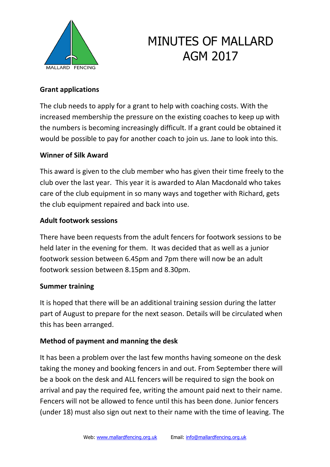

## **Grant applications**

The club needs to apply for a grant to help with coaching costs. With the increased membership the pressure on the existing coaches to keep up with the numbers is becoming increasingly difficult. If a grant could be obtained it would be possible to pay for another coach to join us. Jane to look into this.

#### **Winner of Silk Award**

This award is given to the club member who has given their time freely to the club over the last year. This year it is awarded to Alan Macdonald who takes care of the club equipment in so many ways and together with Richard, gets the club equipment repaired and back into use.

## **Adult footwork sessions**

There have been requests from the adult fencers for footwork sessions to be held later in the evening for them. It was decided that as well as a junior footwork session between 6.45pm and 7pm there will now be an adult footwork session between 8.15pm and 8.30pm.

#### **Summer training**

It is hoped that there will be an additional training session during the latter part of August to prepare for the next season. Details will be circulated when this has been arranged.

## **Method of payment and manning the desk**

It has been a problem over the last few months having someone on the desk taking the money and booking fencers in and out. From September there will be a book on the desk and ALL fencers will be required to sign the book on arrival and pay the required fee, writing the amount paid next to their name. Fencers will not be allowed to fence until this has been done. Junior fencers (under 18) must also sign out next to their name with the time of leaving. The